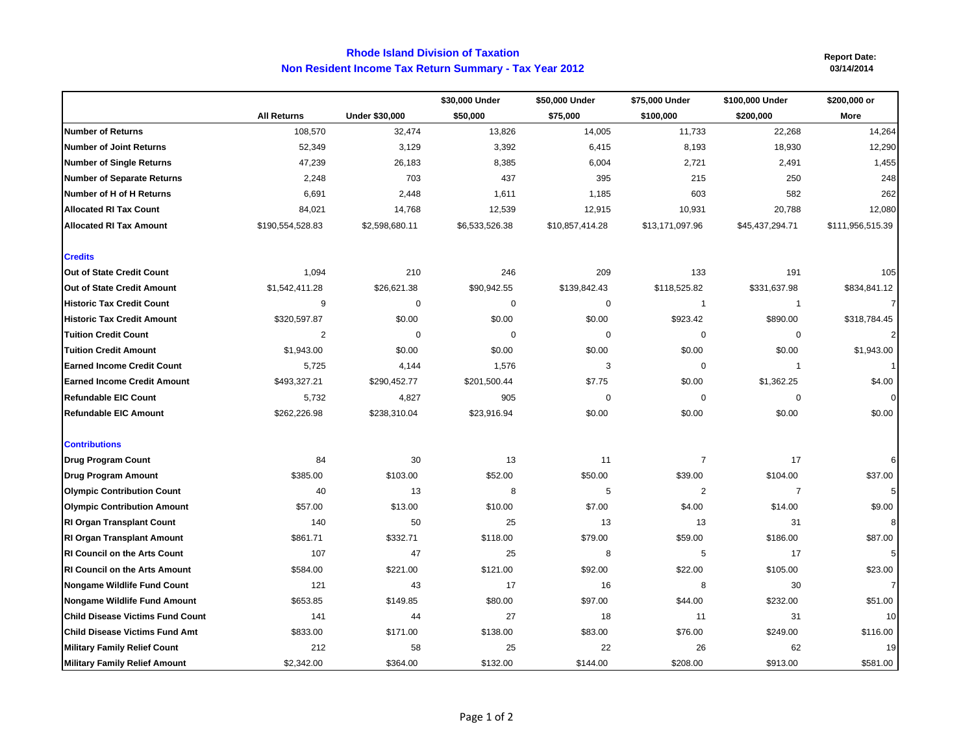## **Non Resident Income Tax Return Summary - Tax Year 2012 Rhode Island Division of Taxation**

**Report Date:**

|                                         |                    |                | \$30,000 Under | \$50,000 Under  | \$75,000 Under  | \$100,000 Under | \$200,000 or     |
|-----------------------------------------|--------------------|----------------|----------------|-----------------|-----------------|-----------------|------------------|
|                                         | <b>All Returns</b> | Under \$30,000 | \$50,000       | \$75,000        | \$100,000       | \$200,000       | More             |
| <b>Number of Returns</b>                | 108,570            | 32,474         | 13,826         | 14,005          | 11,733          | 22,268          | 14,264           |
| <b>Number of Joint Returns</b>          | 52,349             | 3,129          | 3,392          | 6,415           | 8,193           | 18,930          | 12,290           |
| <b>Number of Single Returns</b>         | 47,239             | 26,183         | 8,385          | 6,004           | 2,721           | 2,491           | 1,455            |
| <b>Number of Separate Returns</b>       | 2,248              | 703            | 437            | 395             | 215             | 250             | 248              |
| Number of H of H Returns                | 6,691              | 2,448          | 1,611          | 1,185           | 603             | 582             | 262              |
| <b>Allocated RI Tax Count</b>           | 84,021             | 14,768         | 12,539         | 12,915          | 10,931          | 20,788          | 12,080           |
| <b>Allocated RI Tax Amount</b>          | \$190,554,528.83   | \$2,598,680.11 | \$6,533,526.38 | \$10,857,414.28 | \$13,171,097.96 | \$45,437,294.71 | \$111,956,515.39 |
| <b>Credits</b>                          |                    |                |                |                 |                 |                 |                  |
| Out of State Credit Count               | 1,094              | 210            | 246            | 209             | 133             | 191             | 105              |
| Out of State Credit Amount              | \$1,542,411.28     | \$26,621.38    | \$90,942.55    | \$139,842.43    | \$118,525.82    | \$331,637.98    | \$834,841.12     |
| <b>Historic Tax Credit Count</b>        | 9                  | $\Omega$       | $\pmb{0}$      | $\mathbf 0$     | $\mathbf{1}$    | $\mathbf{1}$    | 7                |
| <b>Historic Tax Credit Amount</b>       | \$320,597.87       | \$0.00         | \$0.00         | \$0.00          | \$923.42        | \$890.00        | \$318,784.45     |
| <b>Tuition Credit Count</b>             | $\overline{2}$     | $\Omega$       | 0              | 0               | $\mathbf 0$     | $\mathbf 0$     |                  |
| <b>Tuition Credit Amount</b>            | \$1,943.00         | \$0.00         | \$0.00         | \$0.00          | \$0.00          | \$0.00          | \$1,943.00       |
| <b>Earned Income Credit Count</b>       | 5,725              | 4,144          | 1,576          | 3               | $\mathbf 0$     | $\mathbf{1}$    |                  |
| <b>Earned Income Credit Amount</b>      | \$493,327.21       | \$290,452.77   | \$201,500.44   | \$7.75          | \$0.00          | \$1,362.25      | \$4.00           |
| <b>Refundable EIC Count</b>             | 5,732              | 4,827          | 905            | $\Omega$        | $\mathbf 0$     | $\Omega$        |                  |
| <b>Refundable EIC Amount</b>            | \$262,226.98       | \$238,310.04   | \$23,916.94    | \$0.00          | \$0.00          | \$0.00          | \$0.00           |
| <b>Contributions</b>                    |                    |                |                |                 |                 |                 |                  |
| <b>Drug Program Count</b>               | 84                 | 30             | 13             | 11              | $\overline{7}$  | 17              |                  |
| <b>Drug Program Amount</b>              | \$385.00           | \$103.00       | \$52.00        | \$50.00         | \$39.00         | \$104.00        | \$37.00          |
| <b>Olympic Contribution Count</b>       | 40                 | 13             | 8              | 5               | $\overline{2}$  | $\overline{7}$  | 5                |
| <b>Olympic Contribution Amount</b>      | \$57.00            | \$13.00        | \$10.00        | \$7.00          | \$4.00          | \$14.00         | \$9.00           |
| <b>RI Organ Transplant Count</b>        | 140                | 50             | 25             | 13              | 13              | 31              | 8                |
| <b>RI Organ Transplant Amount</b>       | \$861.71           | \$332.71       | \$118.00       | \$79.00         | \$59.00         | \$186.00        | \$87.00          |
| <b>RI Council on the Arts Count</b>     | 107                | 47             | 25             | 8               | 5               | 17              | 5                |
| <b>RI Council on the Arts Amount</b>    | \$584.00           | \$221.00       | \$121.00       | \$92.00         | \$22.00         | \$105.00        | \$23.00          |
| <b>Nongame Wildlife Fund Count</b>      | 121                | 43             | 17             | 16              | 8               | 30              | 7                |
| <b>Nongame Wildlife Fund Amount</b>     | \$653.85           | \$149.85       | \$80.00        | \$97.00         | \$44.00         | \$232.00        | \$51.00          |
| <b>Child Disease Victims Fund Count</b> | 141                | 44             | 27             | 18              | 11              | 31              | 10               |
| <b>Child Disease Victims Fund Amt</b>   | \$833.00           | \$171.00       | \$138.00       | \$83.00         | \$76.00         | \$249.00        | \$116.00         |
| <b>Military Family Relief Count</b>     | 212                | 58             | 25             | 22              | 26              | 62              | 19               |
| <b>Military Family Relief Amount</b>    | \$2,342.00         | \$364.00       | \$132.00       | \$144.00        | \$208.00        | \$913.00        | \$581.00         |